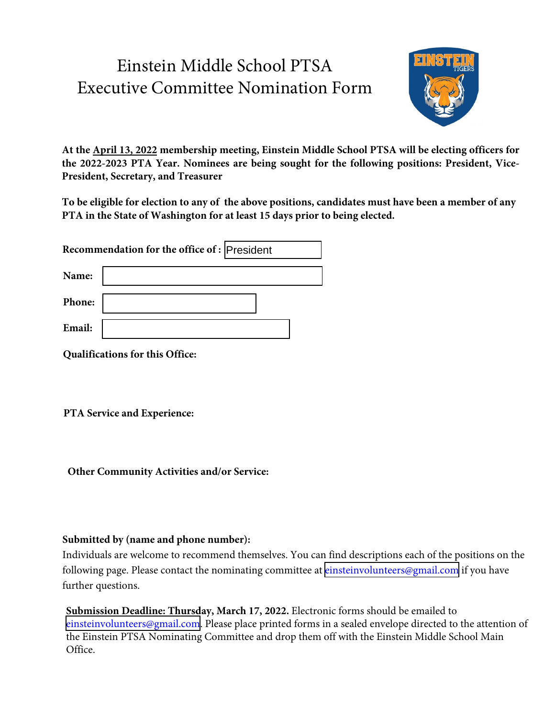# Einstein Middle School PTSA Executive Committee Nomination Form



**At the April 13, 2022 membership meeting, Einstein Middle School PTSA will be electing officers for the 2022-2023 PTA Year. Nominees are being sought for the following positions: President, Vice-President, Secretary, and Treasurer**

**To be eligible for election to any of the above positions, candidates must have been a member of any PTA in the State of Washington for at least 15 days prior to being elected.**

| Recommendation for the office of : President |  |  |
|----------------------------------------------|--|--|
| Name:                                        |  |  |
| Phone:                                       |  |  |
| Email:                                       |  |  |

**Qualifications for this Office:**

**PTA Service and Experience:**

**Other Community Activities and/or Service:**

#### **Submitted by (name and phone number):**

Individuals are welcome to recommend themselves. You can find descriptions each of the positions on the following page. Please contact the nominating committee at [einsteinvolunteers@gmail.com](mailto:einsteinvolunteers@gmail.com) if you have further questions.

**Submission Deadline: Thursday, March 17, 2022.** Electronic forms should be emailed to [einsteinvolunteers@gmail.com](mailto:einsteinvolunteers@gmail.com). Please place printed forms in a sealed envelope directed to the attention of the Einstein PTSA Nominating Committee and drop them off with the Einstein Middle School Main Office.